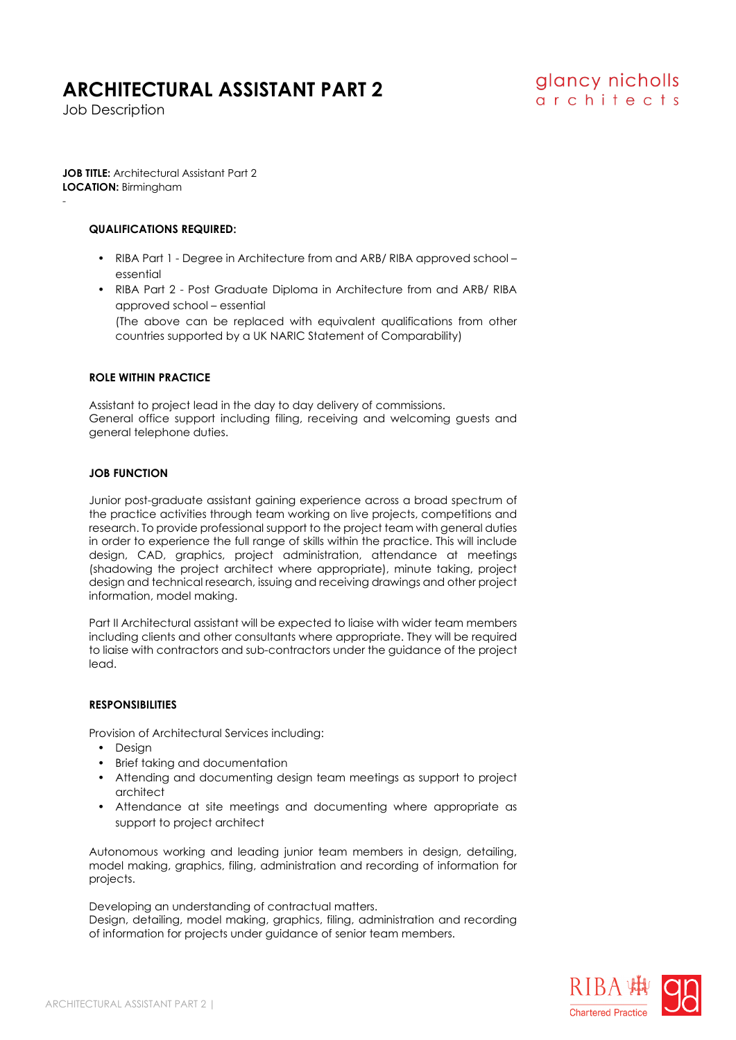## **ARCHITECTURAL ASSISTANT PART 2**

Job Description

-

**JOB TITLE:** Architectural Assistant Part 2 **LOCATION:** Birmingham

#### **QUALIFICATIONS REQUIRED:**

- RIBA Part 1 Degree in Architecture from and ARB/ RIBA approved school essential
- RIBA Part 2 Post Graduate Diploma in Architecture from and ARB/ RIBA approved school – essential (The above can be replaced with equivalent qualifications from other countries supported by a UK NARIC Statement of Comparability)

#### **ROLE WITHIN PRACTICE**

Assistant to project lead in the day to day delivery of commissions. General office support including filing, receiving and welcoming guests and general telephone duties.

#### **JOB FUNCTION**

Junior post-graduate assistant gaining experience across a broad spectrum of the practice activities through team working on live projects, competitions and research. To provide professional support to the project team with general duties in order to experience the full range of skills within the practice. This will include design, CAD, graphics, project administration, attendance at meetings (shadowing the project architect where appropriate), minute taking, project design and technical research, issuing and receiving drawings and other project information, model making.

Part II Architectural assistant will be expected to liaise with wider team members including clients and other consultants where appropriate. They will be required to liaise with contractors and sub-contractors under the guidance of the project lead.

#### **RESPONSIBILITIES**

Provision of Architectural Services including:

- Design
- Brief taking and documentation
- Attending and documenting design team meetings as support to project architect
- Attendance at site meetings and documenting where appropriate as support to project architect

Autonomous working and leading junior team members in design, detailing, model making, graphics, filing, administration and recording of information for projects.

Developing an understanding of contractual matters.

Design, detailing, model making, graphics, filing, administration and recording of information for projects under guidance of senior team members.